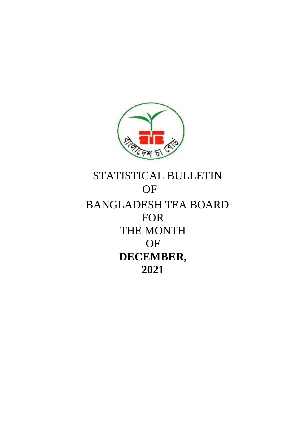

# STATISTICAL BULLETIN OF BANGLADESH TEA BOARD FOR THE MONTH OF **DECEMBER, 2021**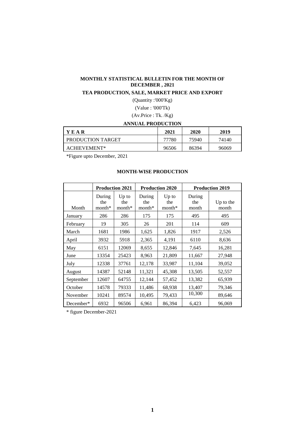## **MONTHLY STATISTICAL BULLETIN FOR THE MONTH OF DECEMBER , 2021**

## **TEA PRODUCTION, SALE, MARKET PRICE AND EXPORT**

(Quantity :'000'Kg)

(Value : '000'Tk)

(Av.Price : Tk. /Kg)

## **ANNUAL PRODUCTION**

| <b>YEAR</b>       | 2021  | 2020  | 2019  |
|-------------------|-------|-------|-------|
| PRODUCTION TARGET | 77780 | 75940 | 74140 |
| ACHIEVEMENT*      | 96506 | 86394 | 96069 |

\*Figure upto December, 2021

## **MONTH-WISE PRODUCTION**

|           |                           | <b>Production 2021</b>     |                           | <b>Production 2020</b>     |                        | <b>Production 2019</b> |
|-----------|---------------------------|----------------------------|---------------------------|----------------------------|------------------------|------------------------|
| Month     | During<br>the<br>$month*$ | $Up$ to<br>the<br>$month*$ | During<br>the<br>$month*$ | $Up$ to<br>the<br>$month*$ | During<br>the<br>month | Up to the<br>month     |
| January   | 286                       | 286                        | 175                       | 175                        | 495                    | 495                    |
| February  | 19                        | 305                        | 26                        | 201                        | 114                    | 609                    |
| March     | 1681                      | 1986                       | 1,625                     | 1,826                      | 1917                   | 2,526                  |
| April     | 3932                      | 5918                       | 2,365                     | 4,191                      | 6110                   | 8,636                  |
| May       | 6151                      | 12069                      | 8,655                     | 12,846                     | 7,645                  | 16,281                 |
| June      | 13354                     | 25423                      | 8,963                     | 21,809                     | 11,667                 | 27,948                 |
| July      | 12338                     | 37761                      | 12,178                    | 33,987                     | 11,104                 | 39,052                 |
| August    | 14387                     | 52148                      | 11,321                    | 45,308                     | 13,505                 | 52,557                 |
| September | 12607                     | 64755                      | 12,144                    | 57,452                     | 13,382                 | 65,939                 |
| October   | 14578                     | 79333                      | 11,486                    | 68,938                     | 13,407                 | 79,346                 |
| November  | 10241<br>89574            |                            | 10,495                    | 79,433                     | 10,300                 | 89,646                 |
| December* | 6932                      | 96506                      | 6,961                     | 86,394                     | 6,423                  | 96,069                 |

\* figure December-2021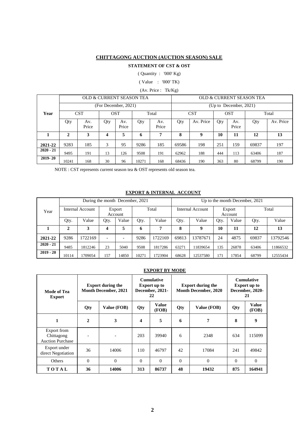## **CHITTAGONG AUCTION (AUCTION SEASON) SALE**

## **STATEMENT OF CST & OST**

( Quantity : '000' Kg)

( Value : '000' TK)

#### (Av. Price : Tk/Kg)

|             |       |              |     |                      | OLD & CURRENT SEASON TEA |              | OLD & CURRENT SEASON TEA |           |     |                        |       |           |  |  |
|-------------|-------|--------------|-----|----------------------|--------------------------|--------------|--------------------------|-----------|-----|------------------------|-------|-----------|--|--|
|             |       |              |     | (For December, 2021) |                          |              |                          |           |     | (Up to December, 2021) |       |           |  |  |
| Year        |       | <b>CST</b>   |     | <b>OST</b>           | Total                    |              | <b>CST</b>               |           |     | <b>OST</b>             | Total |           |  |  |
|             | Qty   | Av.<br>Price | Qty | Av.<br>Price         | Qty                      | Av.<br>Price | Qty                      | Av. Price | Qty | Av.<br>Price           | Qty   | Av. Price |  |  |
|             | 2     |              | 4   | 5                    | 6                        |              | 8                        | 9         | 10  | 11                     | 12    | 13        |  |  |
| 2021-22     | 9283  | 185          | 3   | 95                   | 9286                     | 185          | 69586                    | 198       | 251 | 159                    | 69837 | 197       |  |  |
| $2020 - 21$ | 9495  | 191          | 13  | 126                  | 9508                     | 191          | 62962                    | 188       | 444 | 113                    | 63406 | 187       |  |  |
| $2019 - 20$ | 10241 | 168          | 30  | 96                   | 10271                    | 168          | 68436                    | 190       | 363 | 80                     | 68799 | 190       |  |  |

NOTE : CST represents current season tea & OST represents old season tea.

## **EXPORT & INTERNAL ACCOUNT**

|             |       |                  |                          |                          | During the month December, 2021 |         | Up to the month December, 2021 |          |                   |       |       |          |  |
|-------------|-------|------------------|--------------------------|--------------------------|---------------------------------|---------|--------------------------------|----------|-------------------|-------|-------|----------|--|
| Year        |       | Internal Account |                          | Export<br>Account        | Total                           |         | Internal Account               |          | Export<br>Account |       | Total |          |  |
|             | Qty.  | Value            | Qty.                     | Value                    | Value<br>Qty.                   |         | Qty.                           | Value    | Qty.              | Value | Qty.  | Value    |  |
|             | 2     | 3                | 4                        | 5                        | 7<br>6                          |         | 8                              | 9        | 10                | 11    | 12    | 13       |  |
| 2021-22     | 9286  | 1722169          | $\overline{\phantom{0}}$ | $\overline{\phantom{0}}$ | 9286                            | 1722169 | 69813                          | 13787671 | 24                | 4875  | 69837 | 13792546 |  |
| $2020 - 21$ | 9485  | 1812246          | 23                       | 5040                     | 9508<br>1817286                 |         | 63271                          | 11839654 | 135               | 26878 | 63406 | 11866532 |  |
| $2019 - 20$ | 10114 | 1709054          | 157                      | 14850                    | 10271                           | 1723904 | 68628                          | 12537580 | 171               | 17854 | 68799 | 12555434 |  |

## **EXPORT BY MODE**

| Mode of Tea<br><b>Export</b>                         |                      | <b>Export during the</b><br><b>Month December, 2021</b> |          | <b>Cumulative</b><br><b>Export up to</b><br>December, 2021-<br>22 |          | <b>Export during the</b><br><b>Month December, 2020</b> | <b>Cumulative</b><br><b>Export up to</b><br>December, 2020-<br>21 |                       |  |
|------------------------------------------------------|----------------------|---------------------------------------------------------|----------|-------------------------------------------------------------------|----------|---------------------------------------------------------|-------------------------------------------------------------------|-----------------------|--|
|                                                      | Qty                  | Value (FOB)                                             | Qty      | <b>Value</b><br>(FOB)                                             | Qty      | Value (FOB)                                             | Qty                                                               | <b>Value</b><br>(FOB) |  |
| 1                                                    | $\mathbf{2}$         | 5<br>3<br>7<br>6<br>4                                   |          | 8                                                                 | 9        |                                                         |                                                                   |                       |  |
| Export from<br>Chittagong<br><b>Auction Purchase</b> |                      | 203                                                     |          | 39940                                                             | 6        | 2348                                                    | 634                                                               | 115099                |  |
| Export under<br>direct Negotiation                   | 36                   | 14006                                                   | 110      | 46797                                                             | 42       | 17084                                                   | 241                                                               | 49842                 |  |
| <b>Others</b>                                        | $\Omega$<br>$\Omega$ |                                                         | $\Omega$ | $\theta$                                                          | $\Omega$ | $\Omega$                                                | $\Omega$                                                          | $\Omega$              |  |
| TOTAL                                                | 36<br>14006          |                                                         | 313      | 86737                                                             | 48       | 19432                                                   | 875                                                               | 164941                |  |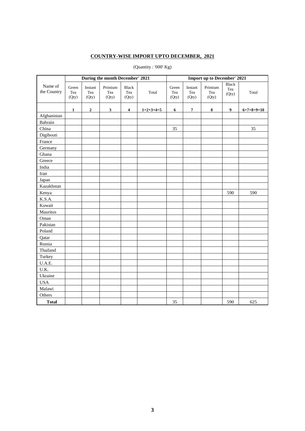## **COUNTRY-WISE IMPORT UPTO DECEMBER, 2021**

|                        |                       |                         | During the month December' 2021 |                              |             | <b>Import up to December' 2021</b> |                         |                         |                              |                      |  |  |
|------------------------|-----------------------|-------------------------|---------------------------------|------------------------------|-------------|------------------------------------|-------------------------|-------------------------|------------------------------|----------------------|--|--|
| Name of<br>the Country | Green<br>Tea<br>(Qty) | Instant<br>Tea<br>(Qty) | Primium<br>Tea<br>(Qty)         | <b>Black</b><br>Tea<br>(Qty) | Total       | Green<br>Tea<br>(Qty)              | Instant<br>Tea<br>(Qty) | Primium<br>Tea<br>(Qty) | <b>Black</b><br>Tea<br>(Qty) | Total                |  |  |
|                        | $\mathbf{1}$          | $\mathbf 2$             | $\mathbf{3}$                    | $\overline{\mathbf{4}}$      | $1+2+3+4=5$ | 6                                  | $\pmb{7}$               | 8                       | $\boldsymbol{9}$             | $6 + 7 + 8 + 9 = 10$ |  |  |
| Afghanistan            |                       |                         |                                 |                              |             |                                    |                         |                         |                              |                      |  |  |
| Bahrain                |                       |                         |                                 |                              |             |                                    |                         |                         |                              |                      |  |  |
| China                  |                       |                         |                                 |                              |             | 35                                 |                         |                         |                              | 35                   |  |  |
| Digibouti              |                       |                         |                                 |                              |             |                                    |                         |                         |                              |                      |  |  |
| France                 |                       |                         |                                 |                              |             |                                    |                         |                         |                              |                      |  |  |
| Germany                |                       |                         |                                 |                              |             |                                    |                         |                         |                              |                      |  |  |
| Ghana                  |                       |                         |                                 |                              |             |                                    |                         |                         |                              |                      |  |  |
| Greece                 |                       |                         |                                 |                              |             |                                    |                         |                         |                              |                      |  |  |
| India                  |                       |                         |                                 |                              |             |                                    |                         |                         |                              |                      |  |  |
| Iran                   |                       |                         |                                 |                              |             |                                    |                         |                         |                              |                      |  |  |
| Japan                  |                       |                         |                                 |                              |             |                                    |                         |                         |                              |                      |  |  |
| Kazakhstan             |                       |                         |                                 |                              |             |                                    |                         |                         |                              |                      |  |  |
| Kenya                  |                       |                         |                                 |                              |             |                                    |                         |                         | 590                          | 590                  |  |  |
| K.S.A.                 |                       |                         |                                 |                              |             |                                    |                         |                         |                              |                      |  |  |
| Kuwait                 |                       |                         |                                 |                              |             |                                    |                         |                         |                              |                      |  |  |
| Mauritus               |                       |                         |                                 |                              |             |                                    |                         |                         |                              |                      |  |  |
| Oman                   |                       |                         |                                 |                              |             |                                    |                         |                         |                              |                      |  |  |
| Pakistan               |                       |                         |                                 |                              |             |                                    |                         |                         |                              |                      |  |  |
| Poland                 |                       |                         |                                 |                              |             |                                    |                         |                         |                              |                      |  |  |
| Qatar                  |                       |                         |                                 |                              |             |                                    |                         |                         |                              |                      |  |  |
| Russia                 |                       |                         |                                 |                              |             |                                    |                         |                         |                              |                      |  |  |
| Thailand               |                       |                         |                                 |                              |             |                                    |                         |                         |                              |                      |  |  |
| Turkey                 |                       |                         |                                 |                              |             |                                    |                         |                         |                              |                      |  |  |
| U.A.E.                 |                       |                         |                                 |                              |             |                                    |                         |                         |                              |                      |  |  |
| U.K.                   |                       |                         |                                 |                              |             |                                    |                         |                         |                              |                      |  |  |
| Ukraine                |                       |                         |                                 |                              |             |                                    |                         |                         |                              |                      |  |  |
| <b>USA</b>             |                       |                         |                                 |                              |             |                                    |                         |                         |                              |                      |  |  |
| Malawi                 |                       |                         |                                 |                              |             |                                    |                         |                         |                              |                      |  |  |
| Others                 |                       |                         |                                 |                              |             |                                    |                         |                         |                              |                      |  |  |
| <b>Total</b>           |                       |                         |                                 |                              |             | 35                                 |                         |                         | 590                          | 625                  |  |  |

## (Quantity : '000' Kg)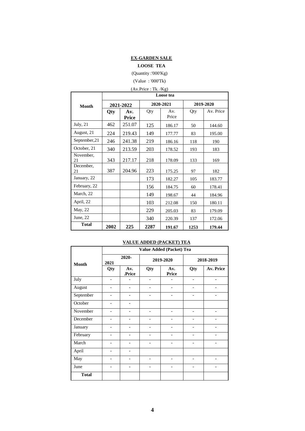## **EX-GARDEN SALE**

## **LOOSE TEA**

(Quantity :'000'Kg)

## (Value : '000'Tk) (Av.Price : Tk. /Kg) **Month Loose tea 2021-2022 2020-2021 2019-2020 Qty Av. Price** Qty Av. Price Qty | Av. Price July, 21 | 462 | 251.07 | 125 | 186.17 | 50 | 144.60 August, 21 | 224 | 219.43 | 149 | 177.77 | 83 | 195.00 September, 21 | 246 | 241.38 | 219 | 186.16 | 118 | 190 October, 21 | 340 | 213.59 | 203 | 178.52 | 193 | 183 November, 21 343 217.17 218 178.09 133 169 December,<br>21 387 204.96 223 175.25 97 182 January, 22 173 182.27 105 183.77 February, 22 | | | | | 156 | 184.75 | 60 | 178.41 March, 22 | | | | | | 149 | 198.67 | 44 | 184.96 April, 22 | | | 103 | 212.08 | 150 | 180.11 May, 22 | | | | 229 | 205.03 | 83 | 179.09 June, 22  $\vert$  340 220.39 137 172.06 **Total <sup>2002</sup> <sup>225</sup> <sup>2287</sup> 191.67 <sup>1253</sup> 179.44**

#### **VALUE ADDED (PACKET) TEA**

|                  |                          | Value Added (Packet) Tea |                          |                          |                |                          |  |  |  |  |  |  |  |
|------------------|--------------------------|--------------------------|--------------------------|--------------------------|----------------|--------------------------|--|--|--|--|--|--|--|
| <b>Month</b>     | 2021                     | 2020-                    |                          | 2019-2020                |                | 2018-2019                |  |  |  |  |  |  |  |
|                  | Qty                      | Av.<br>.Price            | Qty                      | Av.<br><b>Price</b>      | Qty            | <b>Av. Price</b>         |  |  |  |  |  |  |  |
| July             | $\overline{a}$           |                          |                          |                          |                |                          |  |  |  |  |  |  |  |
| August           | $\qquad \qquad -$        | -                        | $\overline{\phantom{a}}$ | $\overline{\phantom{a}}$ | -              | $\overline{\phantom{a}}$ |  |  |  |  |  |  |  |
| September        |                          |                          |                          |                          |                |                          |  |  |  |  |  |  |  |
| October          | $\qquad \qquad$          |                          |                          |                          |                |                          |  |  |  |  |  |  |  |
| November         | $\overline{a}$           |                          | ۰                        |                          | -              |                          |  |  |  |  |  |  |  |
| December         | $\overline{a}$           |                          | $\overline{\phantom{0}}$ |                          |                |                          |  |  |  |  |  |  |  |
| January          | $\overline{a}$           |                          | $\overline{\phantom{0}}$ |                          | $\overline{a}$ |                          |  |  |  |  |  |  |  |
| February         |                          |                          |                          |                          |                |                          |  |  |  |  |  |  |  |
| March            | $\overline{\phantom{a}}$ |                          | $\overline{\phantom{0}}$ |                          |                |                          |  |  |  |  |  |  |  |
| April            | $\overline{a}$           |                          |                          |                          |                |                          |  |  |  |  |  |  |  |
| $\overline{May}$ | $\qquad \qquad$          |                          | $\overline{\phantom{0}}$ |                          |                |                          |  |  |  |  |  |  |  |
| June             | $\overline{\phantom{0}}$ |                          | $\overline{\phantom{0}}$ |                          | -              |                          |  |  |  |  |  |  |  |
| <b>Total</b>     |                          |                          |                          |                          |                |                          |  |  |  |  |  |  |  |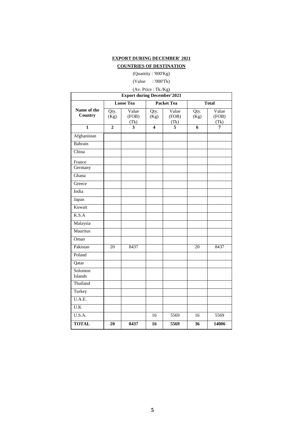## **EXPORT DURING DECEMBER' 2021**

## **COUNTRIES OF DESTINATION**

(Quantity : '000'Kg)

## (Value : '000'Tk)

## (Av. Price : Tk./Kg)

| <b>Export during December'2021</b> |                |                         |                         |                        |                |                        |  |  |  |  |  |  |  |
|------------------------------------|----------------|-------------------------|-------------------------|------------------------|----------------|------------------------|--|--|--|--|--|--|--|
|                                    |                | <b>Loose Tea</b>        |                         | <b>Packet Tea</b>      |                | <b>Total</b>           |  |  |  |  |  |  |  |
| Name of the<br>Country             | Qty.<br>(Kg)   | Value<br>(FOB)<br>(Tk)  | Qty.<br>(Kg)            | Value<br>(FOB)<br>(Tk) | Qty.<br>(Kg)   | Value<br>(FOB)<br>(Tk) |  |  |  |  |  |  |  |
| $\overline{\mathbf{1}}$            | $\overline{2}$ | $\overline{\mathbf{3}}$ | $\overline{\mathbf{4}}$ | $\overline{5}$         | $\overline{6}$ | 7                      |  |  |  |  |  |  |  |
| Afghanistan                        |                |                         |                         |                        |                |                        |  |  |  |  |  |  |  |
| Bahrain                            |                |                         |                         |                        |                |                        |  |  |  |  |  |  |  |
| China                              |                |                         |                         |                        |                |                        |  |  |  |  |  |  |  |
| France<br>Germany                  |                |                         |                         |                        |                |                        |  |  |  |  |  |  |  |
| Ghana                              |                |                         |                         |                        |                |                        |  |  |  |  |  |  |  |
| Greece                             |                |                         |                         |                        |                |                        |  |  |  |  |  |  |  |
| India                              |                |                         |                         |                        |                |                        |  |  |  |  |  |  |  |
| Japan                              |                |                         |                         |                        |                |                        |  |  |  |  |  |  |  |
| Kuwait                             |                |                         |                         |                        |                |                        |  |  |  |  |  |  |  |
| K.S.A                              |                |                         |                         |                        |                |                        |  |  |  |  |  |  |  |
| Malaysia                           |                |                         |                         |                        |                |                        |  |  |  |  |  |  |  |
| Mauritus                           |                |                         |                         |                        |                |                        |  |  |  |  |  |  |  |
| Oman                               |                |                         |                         |                        |                |                        |  |  |  |  |  |  |  |
| Pakistan                           | 20             | 8437                    |                         |                        | 20             | 8437                   |  |  |  |  |  |  |  |
| Poland                             |                |                         |                         |                        |                |                        |  |  |  |  |  |  |  |
| Qatar                              |                |                         |                         |                        |                |                        |  |  |  |  |  |  |  |
| Solomon<br>Islands                 |                |                         |                         |                        |                |                        |  |  |  |  |  |  |  |
| Thailand                           |                |                         |                         |                        |                |                        |  |  |  |  |  |  |  |
| Turkey                             |                |                         |                         |                        |                |                        |  |  |  |  |  |  |  |
| U.A.E.                             |                |                         |                         |                        |                |                        |  |  |  |  |  |  |  |
| U.K                                |                |                         |                         |                        |                |                        |  |  |  |  |  |  |  |
| U.S.A.                             |                |                         | 16                      | 5569                   | 16             | 5569                   |  |  |  |  |  |  |  |
| <b>TOTAL</b>                       | 20             | 8437                    | 16                      | 5569                   | 36             | 14006                  |  |  |  |  |  |  |  |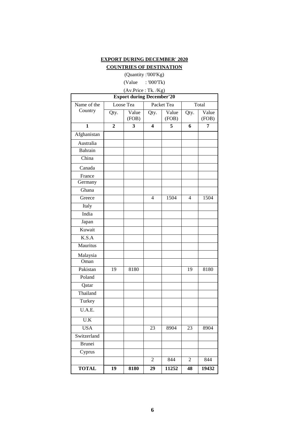## **EXPORT DURING DECEMBER' 2020**

# **COUNTRIES OF DESTINATION**

(Quantity :'000'Kg)

(Value : '000'Tk)

# (Av.Price : Tk. /Kg)

| <b>Export during December'20</b> |              |                |                         |                |                |                |  |  |  |  |  |  |
|----------------------------------|--------------|----------------|-------------------------|----------------|----------------|----------------|--|--|--|--|--|--|
| Name of the                      |              | Loose Tea      |                         | Packet Tea     |                | Total          |  |  |  |  |  |  |
| Country                          | Qty.         | Value<br>(FOB) | Qty.                    | Value<br>(FOB) | Qty.           | Value<br>(FOB) |  |  |  |  |  |  |
| 1                                | $\mathbf{2}$ | 3              | $\overline{\mathbf{4}}$ | 5              | 6              | 7              |  |  |  |  |  |  |
| Afghanistan                      |              |                |                         |                |                |                |  |  |  |  |  |  |
| Australia                        |              |                |                         |                |                |                |  |  |  |  |  |  |
| Bahrain                          |              |                |                         |                |                |                |  |  |  |  |  |  |
| China                            |              |                |                         |                |                |                |  |  |  |  |  |  |
| Canada                           |              |                |                         |                |                |                |  |  |  |  |  |  |
| France                           |              |                |                         |                |                |                |  |  |  |  |  |  |
| Germany                          |              |                |                         |                |                |                |  |  |  |  |  |  |
| Ghana                            |              |                |                         |                |                |                |  |  |  |  |  |  |
| Greece                           |              |                | $\overline{4}$          | 1504           | $\overline{4}$ | 1504           |  |  |  |  |  |  |
| Italy                            |              |                |                         |                |                |                |  |  |  |  |  |  |
| India                            |              |                |                         |                |                |                |  |  |  |  |  |  |
| Japan                            |              |                |                         |                |                |                |  |  |  |  |  |  |
| Kuwait                           |              |                |                         |                |                |                |  |  |  |  |  |  |
| K.S.A                            |              |                |                         |                |                |                |  |  |  |  |  |  |
| Mauritus                         |              |                |                         |                |                |                |  |  |  |  |  |  |
| Malaysia                         |              |                |                         |                |                |                |  |  |  |  |  |  |
| Oman                             |              |                |                         |                |                |                |  |  |  |  |  |  |
| Pakistan                         | 19           | 8180           |                         |                | 19             | 8180           |  |  |  |  |  |  |
| Poland                           |              |                |                         |                |                |                |  |  |  |  |  |  |
| Qatar                            |              |                |                         |                |                |                |  |  |  |  |  |  |
| Thailand                         |              |                |                         |                |                |                |  |  |  |  |  |  |
| Turkey                           |              |                |                         |                |                |                |  |  |  |  |  |  |
| U.A.E.                           |              |                |                         |                |                |                |  |  |  |  |  |  |
| $\overline{U.K}$                 |              |                |                         |                |                |                |  |  |  |  |  |  |
| <b>USA</b>                       |              |                | 23                      | 8904           | 23             | 8904           |  |  |  |  |  |  |
| Switzerland                      |              |                |                         |                |                |                |  |  |  |  |  |  |
| <b>Brunei</b>                    |              |                |                         |                |                |                |  |  |  |  |  |  |
| Cyprus                           |              |                |                         |                |                |                |  |  |  |  |  |  |
|                                  |              |                | $\sqrt{2}$              | 844            | $\overline{c}$ | 844            |  |  |  |  |  |  |
| <b>TOTAL</b>                     | 19           | 8180           | 29                      | 11252          | 48             | 19432          |  |  |  |  |  |  |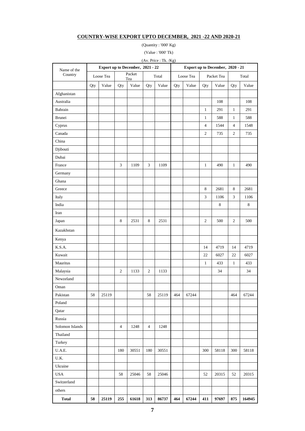## **COUNTRY-WISE EXPORT UPTO DECEMBER, 2021 -22 AND 2020-21**

(Quantity : '000' Kg)

(Value : '000' Tk)

|                 | (Av. Price: Tk. /Kg) |                                  |                |               |                  |       |     |           |                |                                  |                |         |
|-----------------|----------------------|----------------------------------|----------------|---------------|------------------|-------|-----|-----------|----------------|----------------------------------|----------------|---------|
| Name of the     |                      | Export up to December, 2021 - 22 |                |               |                  |       |     |           |                | Export up to December, 2020 - 21 |                |         |
| Country         |                      | Loose Tea                        |                | Packet<br>Tea |                  | Total |     | Loose Tea |                | Packet Tea                       |                | Total   |
|                 | Qty                  | Value                            | Qty            | Value         | Qty              | Value | Qty | Value     | Qty            | Value                            | Qty            | Value   |
| Afghanistan     |                      |                                  |                |               |                  |       |     |           |                |                                  |                |         |
| Australia       |                      |                                  |                |               |                  |       |     |           |                | 108                              |                | 108     |
| Bahrain         |                      |                                  |                |               |                  |       |     |           | $\mathbf{1}$   | 291                              | $\mathbf{1}$   | 291     |
| <b>Brunei</b>   |                      |                                  |                |               |                  |       |     |           | $\mathbf{1}$   | 588                              | $\mathbf{1}$   | 588     |
| Cyprus          |                      |                                  |                |               |                  |       |     |           | $\overline{4}$ | 1544                             | $\overline{4}$ | 1548    |
| Canada          |                      |                                  |                |               |                  |       |     |           | $\overline{c}$ | 735                              | 2              | 735     |
| China           |                      |                                  |                |               |                  |       |     |           |                |                                  |                |         |
| Djibouti        |                      |                                  |                |               |                  |       |     |           |                |                                  |                |         |
| Dubai           |                      |                                  |                |               |                  |       |     |           |                |                                  |                |         |
| France          |                      |                                  | 3              | 1109          | 3                | 1109  |     |           | $\mathbf{1}$   | 490                              | $\mathbf{1}$   | 490     |
| Germany         |                      |                                  |                |               |                  |       |     |           |                |                                  |                |         |
| Ghana           |                      |                                  |                |               |                  |       |     |           |                |                                  |                |         |
| Greece          |                      |                                  |                |               |                  |       |     |           | 8              | 2681                             | 8              | 2681    |
| Italy           |                      |                                  |                |               |                  |       |     |           | $\mathfrak{Z}$ | 1106                             | 3              | 1106    |
| India           |                      |                                  |                |               |                  |       |     |           |                | $8\,$                            |                | $\,8\,$ |
| Iran            |                      |                                  |                |               |                  |       |     |           |                |                                  |                |         |
| Japan           |                      |                                  | 8              | 2531          | $\,8\,$          | 2531  |     |           | $\mathfrak{2}$ | 500                              | 2              | 500     |
| Kazakhstan      |                      |                                  |                |               |                  |       |     |           |                |                                  |                |         |
| Kenya           |                      |                                  |                |               |                  |       |     |           |                |                                  |                |         |
| K.S.A.          |                      |                                  |                |               |                  |       |     |           | 14             | 4719                             | 14             | 4719    |
| Kuwait          |                      |                                  |                |               |                  |       |     |           | 22             | 6027                             | 22             | 6027    |
| Mauritus        |                      |                                  |                |               |                  |       |     |           | $\mathbf{1}$   | 433                              | $\mathbf{1}$   | 433     |
| Malaysia        |                      |                                  | $\mathfrak{2}$ | 1133          | $\boldsymbol{2}$ | 1133  |     |           |                | 34                               |                | 34      |
| Newzeland       |                      |                                  |                |               |                  |       |     |           |                |                                  |                |         |
| Oman            |                      |                                  |                |               |                  |       |     |           |                |                                  |                |         |
| Pakistan        | 58                   | 25119                            |                |               | 58               | 25119 | 464 | 67244     |                |                                  | 464            | 67244   |
| Poland          |                      |                                  |                |               |                  |       |     |           |                |                                  |                |         |
| Qatar           |                      |                                  |                |               |                  |       |     |           |                |                                  |                |         |
| Russia          |                      |                                  |                |               |                  |       |     |           |                |                                  |                |         |
| Solomon Islands |                      |                                  | $\overline{4}$ | 1248          | 4                | 1248  |     |           |                |                                  |                |         |
| Thailand        |                      |                                  |                |               |                  |       |     |           |                |                                  |                |         |
| Turkey          |                      |                                  |                |               |                  |       |     |           |                |                                  |                |         |
| $U.A.E.$        |                      |                                  | 180            | 30551         | 180              | 30551 |     |           | 300            | 58118                            | 300            | 58118   |
| U.K.            |                      |                                  |                |               |                  |       |     |           |                |                                  |                |         |
| Ukraine         |                      |                                  |                |               |                  |       |     |           |                |                                  |                |         |
| USA             |                      |                                  | 58             | 25046         | 58               | 25046 |     |           | 52             | 20315                            | 52             | 20315   |
| Switzerland     |                      |                                  |                |               |                  |       |     |           |                |                                  |                |         |
| others          |                      |                                  |                |               |                  |       |     |           |                |                                  |                |         |
| <b>Total</b>    | 58                   | 25119                            | 255            | 61618         | 313              | 86737 | 464 | 67244     | 411            | 97697                            | 875            | 164945  |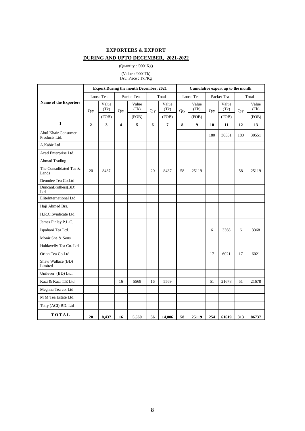## **EXPORTERS & EXPORT DURING AND UPTO DECEMBER, 2021-2022**

#### (Quantity : '000' Kg)

(Value : '000' Tk) (Av. Price : Tk./Kg

|                                      |                |               |                         | <b>Export During the month December, 2021</b> |     |               | Cumulative export up to the month |               |     |               |     |               |
|--------------------------------------|----------------|---------------|-------------------------|-----------------------------------------------|-----|---------------|-----------------------------------|---------------|-----|---------------|-----|---------------|
|                                      |                | Loose Tea     |                         | Packet Tea                                    |     | Total         |                                   | Loose Tea     |     | Packet Tea    |     | Total         |
| Name of the Exporters                | Qty            | Value<br>(Tk) | Qty                     | Value<br>(Tk)                                 | Qty | Value<br>(Tk) | Qty                               | Value<br>(Tk) | Qty | Value<br>(Tk) | Qty | Value<br>(Tk) |
|                                      |                | (FOB)         |                         | (FOB)                                         |     | (FOB)         |                                   | (FOB)         |     | (FOB)         |     | (FOB)         |
| $\mathbf{1}$                         | $\overline{2}$ | $\mathbf{3}$  | $\overline{\mathbf{4}}$ | $\sqrt{5}$                                    | 6   | $\pmb{7}$     | 8                                 | 9             | 10  | 11            | 12  | 13            |
| Abul Khair Consumer<br>Products Ltd. |                |               |                         |                                               |     |               |                                   |               | 180 | 30551         | 180 | 30551         |
| A.Kabir Ltd                          |                |               |                         |                                               |     |               |                                   |               |     |               |     |               |
| Azad Enterprise Ltd.                 |                |               |                         |                                               |     |               |                                   |               |     |               |     |               |
| <b>Ahmad Trading</b>                 |                |               |                         |                                               |     |               |                                   |               |     |               |     |               |
| The Consolidated Tea &<br>Lands      | 20             | 8437          |                         |                                               | 20  | 8437          | 58                                | 25119         |     |               | 58  | 25119         |
| Deundee Tea Co.Ltd                   |                |               |                         |                                               |     |               |                                   |               |     |               |     |               |
| DuncanBrothers(BD)<br>Ltd            |                |               |                         |                                               |     |               |                                   |               |     |               |     |               |
| EliteInternational Ltd               |                |               |                         |                                               |     |               |                                   |               |     |               |     |               |
| Haji Ahmed Brs.                      |                |               |                         |                                               |     |               |                                   |               |     |               |     |               |
| H.R.C.Syndicate Ltd.                 |                |               |                         |                                               |     |               |                                   |               |     |               |     |               |
| James Finlay P.L.C.                  |                |               |                         |                                               |     |               |                                   |               |     |               |     |               |
| Ispahani Tea Ltd.                    |                |               |                         |                                               |     |               |                                   |               | 6   | 3368          | 6   | 3368          |
| Monir Sha & Sons                     |                |               |                         |                                               |     |               |                                   |               |     |               |     |               |
| Haldavelly Tea Co. Ltd               |                |               |                         |                                               |     |               |                                   |               |     |               |     |               |
| Orion Tea Co.Ltd                     |                |               |                         |                                               |     |               |                                   |               | 17  | 6021          | 17  | 6021          |
| Shaw Wallace (BD)<br>Limited         |                |               |                         |                                               |     |               |                                   |               |     |               |     |               |
| Unilever (BD) Ltd.                   |                |               |                         |                                               |     |               |                                   |               |     |               |     |               |
| Kazi & Kazi T.E Ltd                  |                |               | 16                      | 5569                                          | 16  | 5569          |                                   |               | 51  | 21678         | 51  | 21678         |
| Meghna Tea co. Ltd                   |                |               |                         |                                               |     |               |                                   |               |     |               |     |               |
| M M Tea Estate Ltd.                  |                |               |                         |                                               |     |               |                                   |               |     |               |     |               |
| Tetly (ACI) BD. Ltd                  |                |               |                         |                                               |     |               |                                   |               |     |               |     |               |
| TOTAL                                | 20             | 8,437         | 16                      | 5,569                                         | 36  | 14,006        | 58                                | 25119         | 254 | 61619         | 313 | 86737         |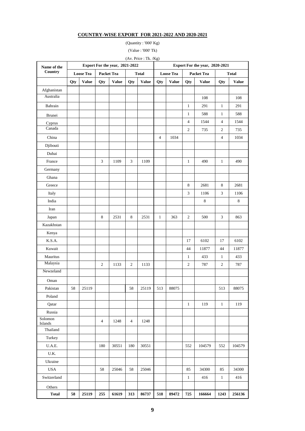## **COUNTRY-WISE EXPORT FOR 2021-2022 AND 2020-2021**

(Quantity : '000' Kg) (Value : '000' Tk)

(Av. Price : Tk. /Kg)

| Name of the        |     | Export For the year, 2021-2022 |                |              |                | Export For the year, 2020-2021 |                |                  |                |                   |                |              |
|--------------------|-----|--------------------------------|----------------|--------------|----------------|--------------------------------|----------------|------------------|----------------|-------------------|----------------|--------------|
| Country            |     | <b>Loose Tea</b>               | Packet Tea     |              |                | <b>Total</b>                   |                | <b>Loose Tea</b> |                | <b>Packet Tea</b> |                | <b>Total</b> |
|                    | Qty | <b>Value</b>                   | Qty            | <b>Value</b> | Qty            | <b>Value</b>                   | Qty            | <b>Value</b>     | Qty            | <b>Value</b>      | Qty            | <b>Value</b> |
| Afghanistan        |     |                                |                |              |                |                                |                |                  |                |                   |                |              |
| Australia          |     |                                |                |              |                |                                |                |                  |                | 108               |                | 108          |
| Bahrain            |     |                                |                |              |                |                                |                |                  | $\mathbf{1}$   | 291               | $\mathbf{1}$   | 291          |
| Brunei             |     |                                |                |              |                |                                |                |                  | $\mathbf{1}$   | 588               | $\mathbf{1}$   | 588          |
| Cyprus             |     |                                |                |              |                |                                |                |                  | $\overline{4}$ | 1544              | $\overline{4}$ | 1544         |
| Canada             |     |                                |                |              |                |                                |                |                  | $\sqrt{2}$     | 735               | $\mathfrak{2}$ | 735          |
| China              |     |                                |                |              |                |                                | $\overline{4}$ | 1034             |                |                   | $\overline{4}$ | 1034         |
| Djibouti           |     |                                |                |              |                |                                |                |                  |                |                   |                |              |
| Dubai              |     |                                |                |              |                |                                |                |                  |                |                   |                |              |
| France             |     |                                | 3              | 1109         | 3              | 1109                           |                |                  | $\mathbf{1}$   | 490               | $\mathbf{1}$   | 490          |
| Germany            |     |                                |                |              |                |                                |                |                  |                |                   |                |              |
| Ghana              |     |                                |                |              |                |                                |                |                  |                |                   |                |              |
| Greece             |     |                                |                |              |                |                                |                |                  | 8              | 2681              | 8              | 2681         |
| Italy              |     |                                |                |              |                |                                |                |                  | 3              | 1106              | 3              | 1106         |
| India              |     |                                |                |              |                |                                |                |                  |                | $\,8\,$           |                | 8            |
| Iran               |     |                                |                |              |                |                                |                |                  |                |                   |                |              |
| Japan              |     |                                | 8              | 2531         | $\,8\,$        | 2531                           | $\mathbf{1}$   | 363              | $\overline{2}$ | 500               | $\mathfrak{Z}$ | 863          |
| Kazakhstan         |     |                                |                |              |                |                                |                |                  |                |                   |                |              |
| Kenya              |     |                                |                |              |                |                                |                |                  |                |                   |                |              |
| K.S.A.             |     |                                |                |              |                |                                |                |                  | 17             | 6102              | 17             | 6102         |
| Kuwait             |     |                                |                |              |                |                                |                |                  | 44             | 11877             | 44             | 11877        |
| Mauritus           |     |                                |                |              |                |                                |                |                  | $\mathbf{1}$   | 433               | $\mathbf{1}$   | 433          |
| Malaysia           |     |                                | $\overline{c}$ | 1133         | $\mathfrak{2}$ | 1133                           |                |                  | $\mathbf{2}$   | 787               | $\overline{c}$ | 787          |
| Newzeland          |     |                                |                |              |                |                                |                |                  |                |                   |                |              |
| Oman               |     |                                |                |              |                |                                |                |                  |                |                   |                |              |
| Pakistan           | 58  | 25119                          |                |              | 58             | 25119                          | 513            | 88075            |                |                   | 513            | 88075        |
| Poland             |     |                                |                |              |                |                                |                |                  |                |                   |                |              |
| Qatar              |     |                                |                |              |                |                                |                |                  | $\mathbf{1}$   | 119               | $\mathbf{1}$   | 119          |
| Russia             |     |                                |                |              |                |                                |                |                  |                |                   |                |              |
| Solomon<br>Islands |     |                                | 4              | 1248         | 4              | 1248                           |                |                  |                |                   |                |              |
| Thailand           |     |                                |                |              |                |                                |                |                  |                |                   |                |              |
| Turkey             |     |                                |                |              |                |                                |                |                  |                |                   |                |              |
| U.A.E.             |     |                                | 180            | 30551        | 180            | 30551                          |                |                  | 552            | 104579            | 552            | 104579       |
| U.K.               |     |                                |                |              |                |                                |                |                  |                |                   |                |              |
| Ukraine            |     |                                |                |              |                |                                |                |                  |                |                   |                |              |
| USA                |     |                                | 58             | 25046        | 58             | 25046                          |                |                  | 85             | 34300             | 85             | 34300        |
| Switzerland        |     |                                |                |              |                |                                |                |                  | $\mathbf{1}$   | 416               | $\mathbf{1}$   | 416          |
| Others             |     |                                |                |              |                |                                |                |                  |                |                   |                |              |
| <b>Total</b>       | 58  | 25119                          | 255            | 61619        | 313            | 86737                          | 518            | 89472            | 725            | 166664            | 1243           | 256136       |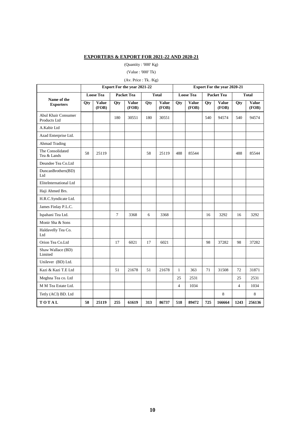## **EXPORTERS & EXPORT FOR 2021-22 AND 2020-21**

(Quantity : '000' Kg)

#### (Value : '000' Tk)

## (Av. Price : Tk. /Kg)

|                                     | <b>Export For the year 2021-22</b> |                       |                   |                       |              |                | <b>Export For the year 2020-21</b> |                       |                   |                       |                |                       |
|-------------------------------------|------------------------------------|-----------------------|-------------------|-----------------------|--------------|----------------|------------------------------------|-----------------------|-------------------|-----------------------|----------------|-----------------------|
|                                     | <b>Loose Tea</b>                   |                       | <b>Packet Tea</b> |                       | <b>Total</b> |                | <b>Loose Tea</b>                   |                       | <b>Packet Tea</b> |                       | <b>Total</b>   |                       |
| Name of the<br><b>Exporters</b>     | <b>Qty</b>                         | <b>Value</b><br>(FOB) | <b>Qty</b>        | <b>Value</b><br>(FOB) | Qty          | Value<br>(FOB) | Qty                                | <b>Value</b><br>(FOB) | <b>Qty</b>        | <b>Value</b><br>(FOB) | <b>Qty</b>     | <b>Value</b><br>(FOB) |
| Abul Khair Consumer<br>Products Ltd |                                    |                       | 180               | 30551                 | 180          | 30551          |                                    |                       | 540               | 94574                 | 540            | 94574                 |
| A.Kabir Ltd                         |                                    |                       |                   |                       |              |                |                                    |                       |                   |                       |                |                       |
| Azad Enterprise Ltd.                |                                    |                       |                   |                       |              |                |                                    |                       |                   |                       |                |                       |
| Ahmad Trading                       |                                    |                       |                   |                       |              |                |                                    |                       |                   |                       |                |                       |
| The Consolidated<br>Tea & Lands     | 58                                 | 25119                 |                   |                       | 58           | 25119          | 488                                | 85544                 |                   |                       | 488            | 85544                 |
| Deundee Tea Co.Ltd                  |                                    |                       |                   |                       |              |                |                                    |                       |                   |                       |                |                       |
| DuncanBrothers(BD)<br>Ltd           |                                    |                       |                   |                       |              |                |                                    |                       |                   |                       |                |                       |
| EliteInternational Ltd              |                                    |                       |                   |                       |              |                |                                    |                       |                   |                       |                |                       |
| Haji Ahmed Brs.                     |                                    |                       |                   |                       |              |                |                                    |                       |                   |                       |                |                       |
| H.R.C.Syndicate Ltd.                |                                    |                       |                   |                       |              |                |                                    |                       |                   |                       |                |                       |
| James Finlay P.L.C.                 |                                    |                       |                   |                       |              |                |                                    |                       |                   |                       |                |                       |
| Ispahani Tea Ltd.                   |                                    |                       | 7                 | 3368                  | 6            | 3368           |                                    |                       | 16                | 3292                  | 16             | 3292                  |
| Monir Sha & Sons                    |                                    |                       |                   |                       |              |                |                                    |                       |                   |                       |                |                       |
| Haldavelly Tea Co.<br>Ltd           |                                    |                       |                   |                       |              |                |                                    |                       |                   |                       |                |                       |
| Orion Tea Co.Ltd                    |                                    |                       | 17                | 6021                  | 17           | 6021           |                                    |                       | 98                | 37282                 | 98             | 37282                 |
| Shaw Wallace (BD)<br>Limited        |                                    |                       |                   |                       |              |                |                                    |                       |                   |                       |                |                       |
| Unilever (BD) Ltd.                  |                                    |                       |                   |                       |              |                |                                    |                       |                   |                       |                |                       |
| Kazi & Kazi T.E Ltd                 |                                    |                       | 51                | 21678                 | 51           | 21678          | $\mathbf{1}$                       | 363                   | 71                | 31508                 | 72             | 31871                 |
| Meghna Tea co. Ltd                  |                                    |                       |                   |                       |              |                | 25                                 | 2531                  |                   |                       | 25             | 2531                  |
| M M Tea Estate Ltd.                 |                                    |                       |                   |                       |              |                | $\overline{4}$                     | 1034                  |                   |                       | $\overline{4}$ | 1034                  |
| Tetly (ACI) BD. Ltd                 |                                    |                       |                   |                       |              |                |                                    |                       |                   | 8                     |                | 8                     |
| TOTAL                               | 58                                 | 25119                 | 255               | 61619                 | 313          | 86737          | 518                                | 89472                 | 725               | 166664                | 1243           | 256136                |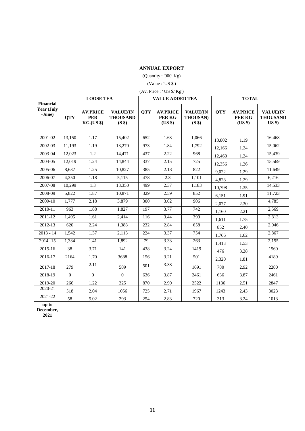## **ANNUAL EXPORT**

(Quantity : '000' Kg)

## (Value : 'US \$')

|                                          |            | <b>LOOSE TEA</b>                            |                                              |            | <b>VALUE ADDED TEA</b>               |                                       | <b>TOTAL</b> |                                      |                                                |  |
|------------------------------------------|------------|---------------------------------------------|----------------------------------------------|------------|--------------------------------------|---------------------------------------|--------------|--------------------------------------|------------------------------------------------|--|
| <b>Financial</b><br>Year (July<br>-June) | <b>QTY</b> | <b>AV.PRICE</b><br><b>PER</b><br>KG.(US \$) | <b>VALUE(IN</b><br><b>THOUSAND</b><br>(S \$) | <b>QTY</b> | <b>AV.PRICE</b><br>PER KG<br>$(US \$ | <b>VALUE(IN</b><br>THOUSAN)<br>(S \$) | <b>QTY</b>   | <b>AV.PRICE</b><br>PER KG<br>(US \$) | <b>VALUE(IN</b><br><b>THOUSAND</b><br>$US$ \$) |  |
| 2001-02                                  | 13,150     | 1.17                                        | 15,402                                       | 652        | 1.63                                 | 1,066                                 | 13,802       | 1.19                                 | 16,468                                         |  |
| 2002-03                                  | 11,193     | 1.19                                        | 13,270                                       | 973        | 1.84                                 | 1,792                                 | 12,166       | 1.24                                 | 15.062                                         |  |
| 2003-04                                  | 12,023     | 1.2                                         | 14,471                                       | 437        | 2.22                                 | 968                                   | 12,460       | 1.24                                 | 15,439                                         |  |
| 2004-05                                  | 12,019     | 1.24                                        | 14,844                                       | 337        | 2.15                                 | 725                                   | 12,356       | 1.26                                 | 15,569                                         |  |
| 2005-06                                  | 8,637      | 1.25                                        | 10.827                                       | 385        | 2.13                                 | 822                                   | 9,022        | 1.29                                 | 11.649                                         |  |
| 2006-07                                  | 4,350      | 1.18                                        | 5,115                                        | 478        | 2.3                                  | 1,101                                 | 4,828        | 1.29                                 | 6,216                                          |  |
| 2007-08                                  | 10,299     | $\overline{1.3}$                            | 13,350                                       | 499        | 2.37                                 | 1,183                                 | 10,798       | 1.35                                 | 14,533                                         |  |
| 2008-09                                  | 5,822      | 1.87                                        | 10,871                                       | 329        | 2.59                                 | 852                                   | 6,151        | 1.91                                 | 11,723                                         |  |
| 2009-10                                  | 1,777      | 2.18                                        | 3,879                                        | 300        | 3.02                                 | 906                                   | 2,077        | 2.30                                 | 4,785                                          |  |
| 2010-11                                  | 963        | 1.88                                        | 1,827                                        | 197        | 3.77                                 | 742                                   | 1,160        | 2.21                                 | 2,569                                          |  |
| 2011-12                                  | 1,495      | 1.61                                        | 2,414                                        | 116        | 3.44                                 | 399                                   | 1,611        | 1.75                                 | 2,813                                          |  |
| 2012-13                                  | 620        | 2.24                                        | 1,388                                        | 232        | 2.84                                 | 658                                   | 852          | 2.40                                 | 2,046                                          |  |
| $2013 - 14$                              | 1,542      | 1.37                                        | 2,113                                        | 224        | 3.37                                 | 754                                   | 1,766        | 1.62                                 | 2,867                                          |  |
| $2014 - 15$                              | 1,334      | 1.41                                        | 1,892                                        | 79         | 3.33                                 | 263                                   | 1,413        | 1.53                                 | 2,155                                          |  |
| $2015 - 16$                              | 38         | 3.71                                        | 141                                          | 438        | 3.24                                 | 1419                                  | 476          | 3.28                                 | 1560                                           |  |
| 2016-17                                  | 2164       | 1.70                                        | 3688                                         | 156        | 3.21                                 | 501                                   | 2,320        | 1.81                                 | 4189                                           |  |
| 2017-18                                  | 279        | 2.11                                        | 589                                          | 501        | 3.38                                 | 1691                                  | 780          | 2.92                                 | 2280                                           |  |
| 2018-19                                  | $\Omega$   | $\mathbf{0}$                                | $\overline{0}$                               | 636        | 3.87                                 | 2461                                  | 636          | 3.87                                 | 2461                                           |  |
| 2019-20                                  | 266        | 1.22                                        | 325                                          | 870        | 2.90                                 | 2522                                  | 1136         | 2.51                                 | 2847                                           |  |
| 2020-21                                  | 518        | 2.04                                        | 1056                                         | 725        | 2.71                                 | 1967                                  | 1243         | 2.43                                 | 3023                                           |  |
| 2021-22                                  | 58         | 5.02                                        | 293                                          | 254        | 2.83                                 | 720                                   | 313          | 3.24                                 | 1013                                           |  |

**up to** 

**December, 2021**